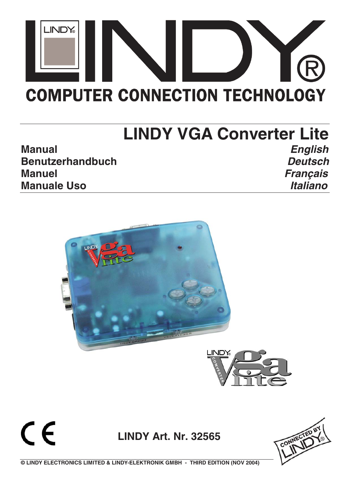

# **LINDY VGA Converter Lite Manual English Benutzerhandbuch Deutsch Manuel Français Manuale Uso Italiano**



 $\epsilon$ **LINDY Art. Nr. 32565**



**© LINDY ELECTRONICS LIMITED & LINDY-ELEKTRONIK GMBH - THIRD EDITION (NOV 2004)**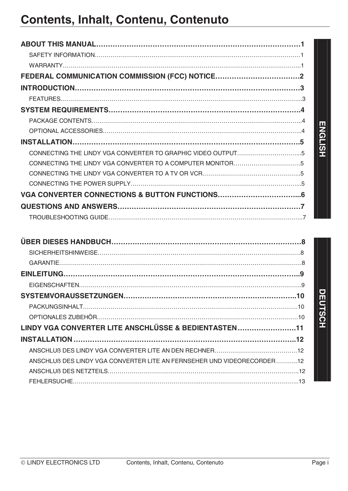# **Contents, Inhalt, Contenu, Contenuto**

| CONNECTING THE LINDY VGA CONVERTER TO GRAPHIC VIDEO OUTPUT5 |  |
|-------------------------------------------------------------|--|
| CONNECTING THE LINDY VGA CONVERTER TO A COMPUTER MONITOR5   |  |
|                                                             |  |
|                                                             |  |
|                                                             |  |
|                                                             |  |
|                                                             |  |

|                                                                        | ENGLISH |
|------------------------------------------------------------------------|---------|
|                                                                        |         |
| CONNECTING THE LINDY VGA CONVERTER TO A COMPUTER MONITOR5              |         |
|                                                                        |         |
|                                                                        |         |
|                                                                        |         |
|                                                                        |         |
|                                                                        |         |
|                                                                        |         |
|                                                                        |         |
|                                                                        |         |
|                                                                        |         |
|                                                                        |         |
|                                                                        |         |
|                                                                        | DEUTSCH |
|                                                                        |         |
| LINDY VGA CONVERTER LITE ANSCHLÜSSE & BEDIENTASTEN11                   |         |
|                                                                        |         |
|                                                                        |         |
| ANSCHLUB DES LINDY VGA CONVERTER LITE AN FERNSEHER UND VIDEORECORDER12 |         |
|                                                                        |         |
|                                                                        |         |
|                                                                        |         |
|                                                                        |         |
|                                                                        |         |
|                                                                        |         |
|                                                                        |         |
|                                                                        |         |
|                                                                        |         |
| © LINDY ELECTRONICS LTD<br>Contents, Inhalt, Contenu, Contenuto        | Page i  |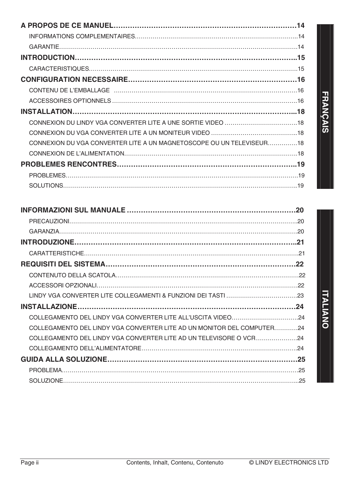| CONNEXION DU VGA CONVERTER LITE A UN MAGNETOSCOPE OU UN TELEVISEUR18 |  |
|----------------------------------------------------------------------|--|
|                                                                      |  |
|                                                                      |  |
|                                                                      |  |
|                                                                      |  |

|         |                                                                        | <b>ITALIANO</b>         |
|---------|------------------------------------------------------------------------|-------------------------|
|         |                                                                        |                         |
|         | COLLEGAMENTO DEL LINDY VGA CONVERTER LITE AD UN MONITOR DEL COMPUTER24 |                         |
|         | COLLEGAMENTO DEL LINDY VGA CONVERTER LITE AD UN TELEVISORE O VCR24     |                         |
|         |                                                                        |                         |
|         |                                                                        |                         |
|         |                                                                        |                         |
|         |                                                                        |                         |
|         |                                                                        |                         |
|         |                                                                        |                         |
|         |                                                                        |                         |
|         |                                                                        |                         |
|         |                                                                        |                         |
|         |                                                                        |                         |
|         |                                                                        |                         |
| Page ii | Contents, Inhalt, Contenu, Contenuto                                   | © LINDY ELECTRONICS LTD |

# **FRANÇAIS FRANÇAIS**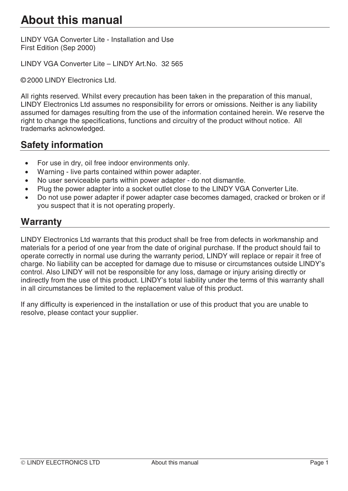# **About this manual**

LINDY VGA Converter Lite - Installation and Use First Edition (Sep 2000)

LINDY VGA Converter Lite – LINDY Art.No. 32 565

© 2000 LINDY Electronics Ltd.

All rights reserved. Whilst every precaution has been taken in the preparation of this manual, LINDY Electronics Ltd assumes no responsibility for errors or omissions. Neither is any liability assumed for damages resulting from the use of the information contained herein. We reserve the right to change the specifications, functions and circuitry of the product without notice. All trademarks acknowledged.

# **Safety information**

- For use in dry, oil free indoor environments only.
- Warning live parts contained within power adapter.
- No user serviceable parts within power adapter do not dismantle.
- Plug the power adapter into a socket outlet close to the LINDY VGA Converter Lite.
- Do not use power adapter if power adapter case becomes damaged, cracked or broken or if you suspect that it is not operating properly.

## **Warranty**

LINDY Electronics Ltd warrants that this product shall be free from defects in workmanship and materials for a period of one year from the date of original purchase. If the product should fail to operate correctly in normal use during the warranty period, LINDY will replace or repair it free of charge. No liability can be accepted for damage due to misuse or circumstances outside LINDY's control. Also LINDY will not be responsible for any loss, damage or injury arising directly or indirectly from the use of this product. LINDY's total liability under the terms of this warranty shall in all circumstances be limited to the replacement value of this product.

If any difficulty is experienced in the installation or use of this product that you are unable to resolve, please contact your supplier.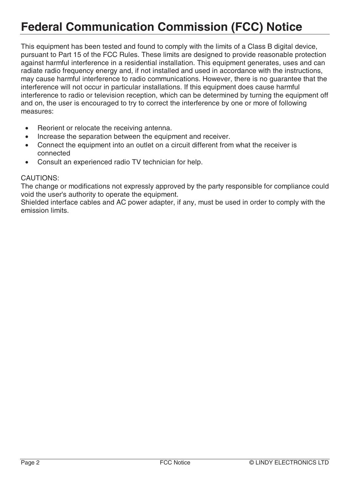# **Federal Communication Commission (FCC) Notice**

This equipment has been tested and found to comply with the limits of a Class B digital device, pursuant to Part 15 of the FCC Rules. These limits are designed to provide reasonable protection against harmful interference in a residential installation. This equipment generates, uses and can radiate radio frequency energy and, if not installed and used in accordance with the instructions, may cause harmful interference to radio communications. However, there is no guarantee that the interference will not occur in particular installations. If this equipment does cause harmful interference to radio or television reception, which can be determined by turning the equipment off and on, the user is encouraged to try to correct the interference by one or more of following measures:

- Reorient or relocate the receiving antenna.
- Increase the separation between the equipment and receiver.
- Connect the equipment into an outlet on a circuit different from what the receiver is connected
- Consult an experienced radio TV technician for help.

#### CAUTIONS:

The change or modifications not expressly approved by the party responsible for compliance could void the user's authority to operate the equipment.

Shielded interface cables and AC power adapter, if any, must be used in order to comply with the emission limits.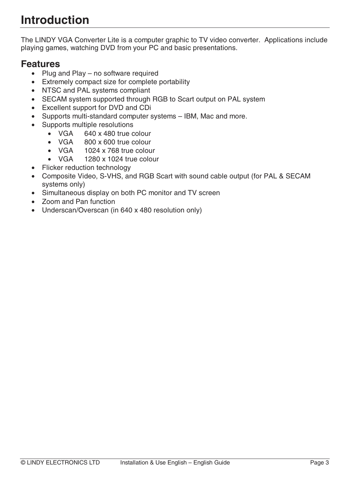# **Introduction**

The LINDY VGA Converter Lite is a computer graphic to TV video converter. Applications include playing games, watching DVD from your PC and basic presentations.

# **Features**

- Plug and Play no software required
- Extremely compact size for complete portability
- NTSC and PAL systems compliant
- SECAM system supported through RGB to Scart output on PAL system
- Excellent support for DVD and CDi
- Supports multi-standard computer systems IBM, Mac and more.
- Supports multiple resolutions
	- VGA 640 x 480 true colour
	- VGA 800 x 600 true colour
	- VGA 1024 x 768 true colour
	- VGA 1280 x 1024 true colour
- Flicker reduction technology
- Composite Video, S-VHS, and RGB Scart with sound cable output (for PAL & SECAM systems only)
- Simultaneous display on both PC monitor and TV screen
- Zoom and Pan function
- Underscan/Overscan (in 640 x 480 resolution only)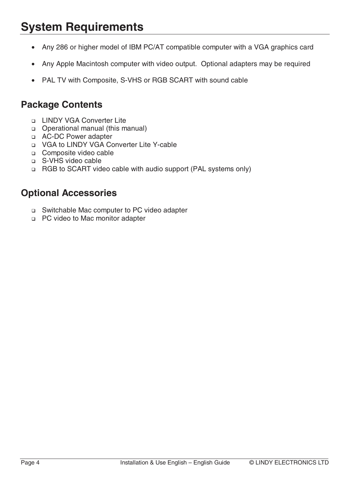# **System Requirements**

- Any 286 or higher model of IBM PC/AT compatible computer with a VGA graphics card
- Any Apple Macintosh computer with video output. Optional adapters may be required
- PAL TV with Composite, S-VHS or RGB SCART with sound cable

## **Package Contents**

- **LINDY VGA Converter Lite**
- Operational manual (this manual)
- AC-DC Power adapter
- VGA to LINDY VGA Converter Lite Y-cable
- □ Composite video cable
- □ S-VHS video cable
- □ RGB to SCART video cable with audio support (PAL systems only)

## **Optional Accessories**

- Switchable Mac computer to PC video adapter
- □ PC video to Mac monitor adapter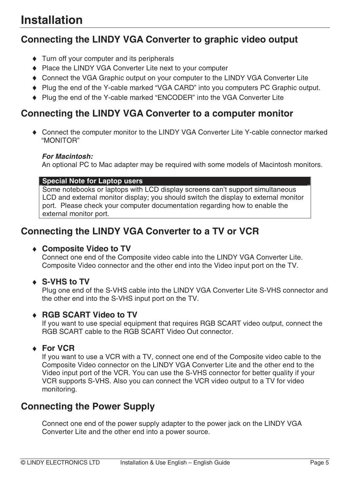# **Connecting the LINDY VGA Converter to graphic video output**

- ♦ Turn off your computer and its peripherals
- ♦ Place the LINDY VGA Converter Lite next to your computer
- ♦ Connect the VGA Graphic output on your computer to the LINDY VGA Converter Lite
- ♦ Plug the end of the Y-cable marked "VGA CARD" into you computers PC Graphic output.
- ♦ Plug the end of the Y-cable marked "ENCODER" into the VGA Converter Lite

# **Connecting the LINDY VGA Converter to a computer monitor**

♦ Connect the computer monitor to the LINDY VGA Converter Lite Y-cable connector marked "MONITOR"

### **For Macintosh:**

An optional PC to Mac adapter may be required with some models of Macintosh monitors.

### **Special Note for Laptop users**

Some notebooks or laptops with LCD display screens can't support simultaneous LCD and external monitor display; you should switch the display to external monitor port. Please check your computer documentation regarding how to enable the external monitor port.

# **Connecting the LINDY VGA Converter to a TV or VCR**

## ♦ **Composite Video to TV**

Connect one end of the Composite video cable into the LINDY VGA Converter Lite. Composite Video connector and the other end into the Video input port on the TV.

## ♦ **S-VHS to TV**

Plug one end of the S-VHS cable into the LINDY VGA Converter Lite S-VHS connector and the other end into the S-VHS input port on the TV.

## ♦ **RGB SCART Video to TV**

If you want to use special equipment that requires RGB SCART video output, connect the RGB SCART cable to the RGB SCART Video Out connector.

## ♦ **For VCR**

If you want to use a VCR with a TV, connect one end of the Composite video cable to the Composite Video connector on the LINDY VGA Converter Lite and the other end to the Video input port of the VCR. You can use the S-VHS connector for better quality if your VCR supports S-VHS. Also you can connect the VCR video output to a TV for video monitoring.

# **Connecting the Power Supply**

Connect one end of the power supply adapter to the power jack on the LINDY VGA Converter Lite and the other end into a power source.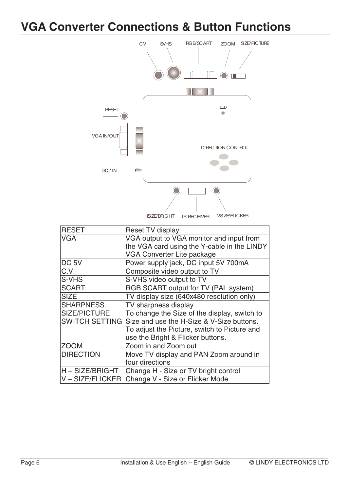# **VGA Converter Connections & Button Functions**



| <b>RESET</b>          | <b>Reset TV display</b>                          |
|-----------------------|--------------------------------------------------|
| <b>VGA</b>            | VGA output to VGA monitor and input from         |
|                       | the VGA card using the Y-cable in the LINDY      |
|                       | VGA Converter Lite package                       |
| DC <sub>5V</sub>      | Power supply jack, DC input 5V 700mA             |
| C.V.                  | Composite video output to TV                     |
| S-VHS                 | S-VHS video output to TV                         |
| <b>SCART</b>          | RGB SCART output for TV (PAL system)             |
| <b>SIZE</b>           | TV display size (640x480 resolution only)        |
| <b>SHARPNESS</b>      | TV sharpness display                             |
| <b>SIZE/PICTURE</b>   | To change the Size of the display, switch to     |
| <b>SWITCH SETTING</b> | Size and use the H-Size & V-Size buttons.        |
|                       | To adjust the Picture, switch to Picture and     |
|                       | use the Bright & Flicker buttons.                |
| <b>ZOOM</b>           | Zoom in and Zoom out                             |
| <b>DIRECTION</b>      | Move TV display and PAN Zoom around in           |
|                       | four directions                                  |
| H-SIZE/BRIGHT         | Change H - Size or TV bright control             |
|                       | V - SIZE/FLICKER Change V - Size or Flicker Mode |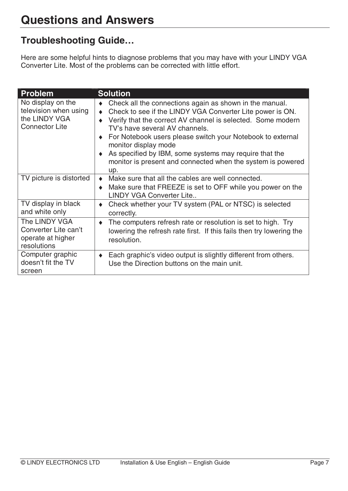# **Troubleshooting Guide…**

Here are some helpful hints to diagnose problems that you may have with your LINDY VGA Converter Lite. Most of the problems can be corrected with little effort.

| <b>Problem</b>                                                                       | <b>Solution</b>                                                                                                                                                                                                                                                                                                                                                                                                                                                              |
|--------------------------------------------------------------------------------------|------------------------------------------------------------------------------------------------------------------------------------------------------------------------------------------------------------------------------------------------------------------------------------------------------------------------------------------------------------------------------------------------------------------------------------------------------------------------------|
| No display on the<br>television when using<br>the LINDY VGA<br><b>Connector Lite</b> | Check all the connections again as shown in the manual.<br>۰<br>Check to see if the LINDY VGA Converter Lite power is ON.<br>$\bullet$<br>Verify that the correct AV channel is selected. Some modern<br>TV's have several AV channels.<br>For Notebook users please switch your Notebook to external<br>$\bullet$<br>monitor display mode<br>• As specified by IBM, some systems may require that the<br>monitor is present and connected when the system is powered<br>up. |
| TV picture is distorted                                                              | Make sure that all the cables are well connected.<br>$\bullet$<br>Make sure that FREEZE is set to OFF while you power on the<br>$\bullet$<br><b>LINDY VGA Converter Lite</b>                                                                                                                                                                                                                                                                                                 |
| TV display in black<br>and white only                                                | Check whether your TV system (PAL or NTSC) is selected<br>٠<br>correctly.                                                                                                                                                                                                                                                                                                                                                                                                    |
| The LINDY VGA<br>Converter Lite can't<br>operate at higher<br>resolutions            | The computers refresh rate or resolution is set to high. Try<br>$\blacklozenge$<br>lowering the refresh rate first. If this fails then try lowering the<br>resolution.                                                                                                                                                                                                                                                                                                       |
| Computer graphic<br>doesn't fit the TV<br>screen                                     | Each graphic's video output is slightly different from others.<br>۰<br>Use the Direction buttons on the main unit.                                                                                                                                                                                                                                                                                                                                                           |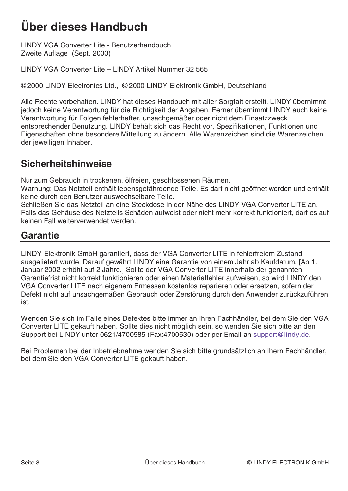# **Über dieses Handbuch**

LINDY VGA Converter Lite - Benutzerhandbuch Zweite Auflage (Sept. 2000)

LINDY VGA Converter Lite – LINDY Artikel Nummer 32 565

© 2000 LINDY Electronics Ltd., © 2000 LINDY-Elektronik GmbH, Deutschland

Alle Rechte vorbehalten. LINDY hat dieses Handbuch mit aller Sorgfalt erstellt. LINDY übernimmt jedoch keine Verantwortung für die Richtigkeit der Angaben. Ferner übernimmt LINDY auch keine Verantwortung für Folgen fehlerhafter, unsachgemäßer oder nicht dem Einsatzzweck entsprechender Benutzung. LINDY behält sich das Recht vor, Spezifikationen, Funktionen und Eigenschaften ohne besondere Mitteilung zu ändern. Alle Warenzeichen sind die Warenzeichen der jeweiligen Inhaber.

## **Sicherheitshinweise**

Nur zum Gebrauch in trockenen, ölfreien, geschlossenen Räumen.

Warnung: Das Netzteil enthält lebensgefährdende Teile. Es darf nicht geöffnet werden und enthält keine durch den Benutzer auswechselbare Teile.

Schließen Sie das Netzteil an eine Steckdose in der Nähe des LINDY VGA Converter LITE an. Falls das Gehäuse des Netzteils Schäden aufweist oder nicht mehr korrekt funktioniert, darf es auf keinen Fall weiterverwendet werden.

# **Garantie**

LINDY-Elektronik GmbH garantiert, dass der VGA Converter LITE in fehlerfreiem Zustand ausgeliefert wurde. Darauf gewährt LINDY eine Garantie von einem Jahr ab Kaufdatum. [Ab 1. Januar 2002 erhöht auf 2 Jahre.] Sollte der VGA Converter LITE innerhalb der genannten Garantiefrist nicht korrekt funktionieren oder einen Materialfehler aufweisen, so wird LINDY den VGA Converter LITE nach eigenem Ermessen kostenlos reparieren oder ersetzen, sofern der Defekt nicht auf unsachgemäßen Gebrauch oder Zerstörung durch den Anwender zurückzuführen ist.

Wenden Sie sich im Falle eines Defektes bitte immer an Ihren Fachhändler, bei dem Sie den VGA Converter LITE gekauft haben. Sollte dies nicht möglich sein, so wenden Sie sich bitte an den Support bei LINDY unter 0621/4700585 (Fax:4700530) oder per Email an support@lindy.de.

Bei Problemen bei der Inbetriebnahme wenden Sie sich bitte grundsätzlich an Ihern Fachhändler, bei dem Sie den VGA Converter LITE gekauft haben.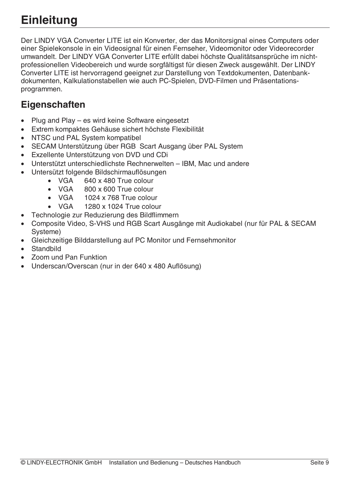# **Einleitung**

Der LINDY VGA Converter LITE ist ein Konverter, der das Monitorsignal eines Computers oder einer Spielekonsole in ein Videosignal für einen Fernseher, Videomonitor oder Videorecorder umwandelt. Der LINDY VGA Converter LITE erfüllt dabei höchste Qualitätsansprüche im nichtprofessionellen Videobereich und wurde sorgfältigst für diesen Zweck ausgewählt. Der LINDY Converter LITE ist hervorragend geeignet zur Darstellung von Textdokumenten, Datenbankdokumenten, Kalkulationstabellen wie auch PC-Spielen, DVD-Filmen und Präsentationsprogrammen.

# **Eigenschaften**

- Plug and Play es wird keine Software eingesetzt
- Extrem kompaktes Gehäuse sichert höchste Flexibilität
- NTSC und PAL System kompatibel
- SECAM Unterstützung über RGB Scart Ausgang über PAL System
- Exzellente Unterstützung von DVD und CDi
- Unterstützt unterschiedlichste Rechnerwelten IBM, Mac und andere
- Untersützt folgende Bildschirmauflösungen
	- VGA 640 x 480 True colour
		- VGA 800 x 600 True colour
		- VGA 1024 x 768 True colour
		- VGA 1280 x 1024 True colour
- Technologie zur Reduzierung des Bildflimmern
- Composite Video, S-VHS und RGB Scart Ausgänge mit Audiokabel (nur für PAL & SECAM Systeme)
- Gleichzeitige Bilddarstellung auf PC Monitor und Fernsehmonitor
- **Standbild**
- Zoom und Pan Funktion
- Underscan/Overscan (nur in der 640 x 480 Auflösung)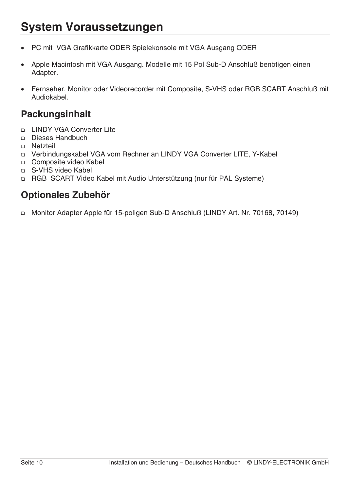# **System Voraussetzungen**

- PC mit VGA Grafikkarte ODER Spielekonsole mit VGA Ausgang ODER
- Apple Macintosh mit VGA Ausgang. Modelle mit 15 Pol Sub-D Anschluß benötigen einen Adapter.
- Fernseher, Monitor oder Videorecorder mit Composite, S-VHS oder RGB SCART Anschluß mit Audiokabel.

# **Packungsinhalt**

- LINDY VGA Converter Lite
- Dieses Handbuch
- **D** Netzteil
- Verbindungskabel VGA vom Rechner an LINDY VGA Converter LITE, Y-Kabel
- □ Composite video Kabel
- □ S-VHS video Kabel
- RGB SCART Video Kabel mit Audio Unterstützung (nur für PAL Systeme)

# **Optionales Zubehör**

□ Monitor Adapter Apple für 15-poligen Sub-D Anschluß (LINDY Art. Nr. 70168, 70149)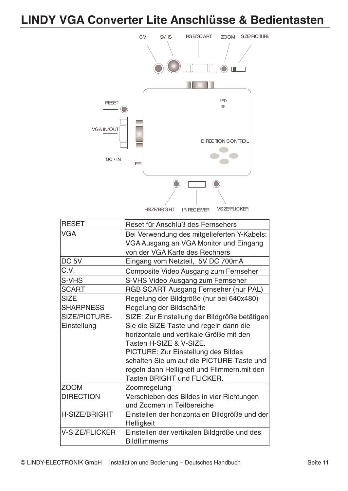# **LINDY VGA Converter Lite Anschlüsse & Bedientasten**



| <b>RESET</b>          | Reset für Anschluß des Fernsehers                                                                                       |
|-----------------------|-------------------------------------------------------------------------------------------------------------------------|
| <b>VGA</b>            | Bei Verwendung des mitgelieferten Y-Kabels:<br>VGA Ausgang an VGA Monitor und Eingang<br>von der VGA Karte des Rechners |
| DC <sub>5V</sub>      | Eingang vom Netzteil, 5V DC 700mA                                                                                       |
| C.V.                  | Composite Video Ausgang zum Fernseher                                                                                   |
| S-VHS                 | S-VHS Video Ausgang zum Fernseher                                                                                       |
| <b>SCART</b>          | RGB SCART Ausgang Fernseher (nur PAL)                                                                                   |
| <b>SIZE</b>           | Regelung der Bildgröße (nur bei 640x480)                                                                                |
| <b>SHARPNESS</b>      | Regelung der Bildschärfe                                                                                                |
| SIZE/PICTURE-         | SIZE: Zur Einstellung der Bildgröße betätigen                                                                           |
| Einstellung           | Sie die SIZE-Taste und regeln dann die                                                                                  |
|                       | horizontale und vertikale Größe mit den                                                                                 |
|                       | Tasten H-SIZE & V-SIZE.                                                                                                 |
|                       | <b>PICTURE: Zur Einstellung des Bildes</b>                                                                              |
|                       | schalten Sie um auf die PICTURE-Taste und                                                                               |
|                       | regeln dann Helligkeit und Flimmern. mit den<br><b>Tasten BRIGHT und FLICKER.</b>                                       |
| <b>ZOOM</b>           | Zoomregelung                                                                                                            |
| <b>DIRECTION</b>      | Verschieben des Bildes in vier Richtungen                                                                               |
|                       | und Zoomen in Teilbereiche                                                                                              |
| H-SIZE/BRIGHT         | Einstellen der horizontalen Bildgröße und der                                                                           |
|                       | Helligkeit                                                                                                              |
| <b>V-SIZE/FLICKER</b> | Einstellen der vertikalen Bildgröße und des                                                                             |
|                       | <b>Bildflimmerns</b>                                                                                                    |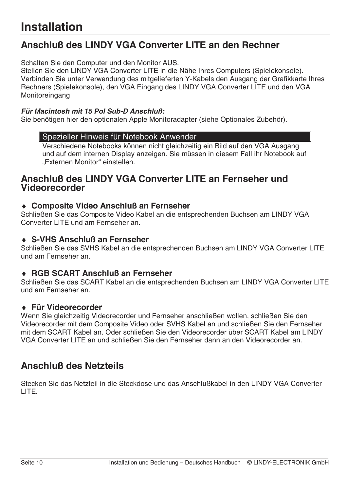# **Anschluß des LINDY VGA Converter LITE an den Rechner**

Schalten Sie den Computer und den Monitor AUS.

Stellen Sie den LINDY VGA Converter LITE in die Nähe Ihres Computers (Spielekonsole). Verbinden Sie unter Verwendung des mitgelieferten Y-Kabels den Ausgang der Grafikkarte Ihres Rechners (Spielekonsole), den VGA Eingang des LINDY VGA Converter LITE und den VGA Monitoreingang

#### **Für Macintosh mit 15 Pol Sub-D Anschluß:**

Sie benötigen hier den optionalen Apple Monitoradapter (siehe Optionales Zubehör).

#### Spezieller Hinweis für Notebook Anwender

Verschiedene Notebooks können nicht gleichzeitig ein Bild auf den VGA Ausgang und auf dem internen Display anzeigen. Sie müssen in diesem Fall ihr Notebook auf "Externen Monitor" einstellen.

## **Anschluß des LINDY VGA Converter LITE an Fernseher und Videorecorder**

### ♦ **Composite Video Anschluß an Fernseher**

Schließen Sie das Composite Video Kabel an die entsprechenden Buchsen am LINDY VGA Converter LITE und am Fernseher an.

## ♦ **S-VHS Anschluß an Fernseher**

Schließen Sie das SVHS Kabel an die entsprechenden Buchsen am LINDY VGA Converter LITE und am Fernseher an.

## ♦ **RGB SCART Anschluß an Fernseher**

Schließen Sie das SCART Kabel an die entsprechenden Buchsen am LINDY VGA Converter LITE und am Fernseher an.

### ♦ **Für Videorecorder**

Wenn Sie gleichzeitig Videorecorder und Fernseher anschließen wollen, schließen Sie den Videorecorder mit dem Composite Video oder SVHS Kabel an und schließen Sie den Fernseher mit dem SCART Kabel an. Oder schließen Sie den Videorecorder über SCART Kabel am LINDY VGA Converter LITE an und schließen Sie den Fernseher dann an den Videorecorder an.

# **Anschluß des Netzteils**

Stecken Sie das Netzteil in die Steckdose und das Anschlußkabel in den LINDY VGA Converter LITE.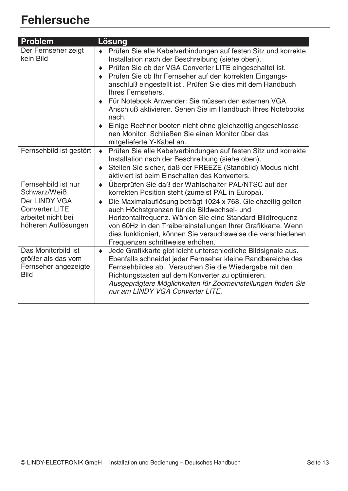# **Fehlersuche**

| <b>Problem</b>                                                                      | Lösung                                                                                                                                                                                                                                                                                                                                                                                                                                                                                                                                                                                                              |
|-------------------------------------------------------------------------------------|---------------------------------------------------------------------------------------------------------------------------------------------------------------------------------------------------------------------------------------------------------------------------------------------------------------------------------------------------------------------------------------------------------------------------------------------------------------------------------------------------------------------------------------------------------------------------------------------------------------------|
| Der Fernseher zeigt<br>kein Bild                                                    | Prüfen Sie alle Kabelverbindungen auf festen Sitz und korrekte<br>Installation nach der Beschreibung (siehe oben).<br>Prüfen Sie ob der VGA Converter LITE eingeschaltet ist.<br>٠<br>Prüfen Sie ob Ihr Fernseher auf den korrekten Eingangs-<br>anschluß eingestellt ist. Prüfen Sie dies mit dem Handbuch<br>Ihres Fernsehers.<br>Für Notebook Anwender: Sie müssen den externen VGA<br>Anschluß aktivieren. Sehen Sie im Handbuch Ihres Notebooks<br>nach.<br>Einige Rechner booten nicht ohne gleichzeitig angeschlosse-<br>٠<br>nen Monitor, Schließen Sie einen Monitor über das<br>mitgelieferte Y-Kabel an. |
| Fernsehbild ist gestört                                                             | Prüfen Sie alle Kabelverbindungen auf festen Sitz und korrekte<br>$\blacklozenge$<br>Installation nach der Beschreibung (siehe oben).<br>Stellen Sie sicher, daß der FREEZE (Standbild) Modus nicht<br>aktiviert ist beim Einschalten des Konverters.                                                                                                                                                                                                                                                                                                                                                               |
| Fernsehbild ist nur<br>Schwarz/Weiß                                                 | Überprüfen Sie daß der Wahlschalter PAL/NTSC auf der<br>$\blacklozenge$<br>korrekten Position steht (zumeist PAL in Europa).                                                                                                                                                                                                                                                                                                                                                                                                                                                                                        |
| Der LINDY VGA<br><b>Converter LITE</b><br>arbeitet nicht bei<br>höheren Auflösungen | Die Maximalauflösung beträgt 1024 x 768. Gleichzeitig gelten<br>$\blacklozenge$<br>auch Höchstgrenzen für die Bildwechsel- und<br>Horizontalfrequenz. Wählen Sie eine Standard-Bildfrequenz<br>von 60Hz in den Treibereinstellungen Ihrer Grafikkarte. Wenn<br>dies funktioniert, können Sie versuchsweise die verschiedenen<br>Frequenzen schrittweise erhöhen.                                                                                                                                                                                                                                                    |
| Das Monitorbild ist<br>größer als das vom<br>Fernseher angezeigte<br><b>Bild</b>    | Jede Grafikkarte gibt leicht unterschiedliche Bildsignale aus.<br>$\blacklozenge$<br>Ebenfalls schneidet jeder Fernseher kleine Randbereiche des<br>Fernsehbildes ab. Versuchen Sie die Wiedergabe mit den<br>Richtungstasten auf dem Konverter zu optimieren.<br>Ausgeprägtere Möglichkeiten für Zoomeinstellungen finden Sie<br>nur am LINDY VGA Converter LITE.                                                                                                                                                                                                                                                  |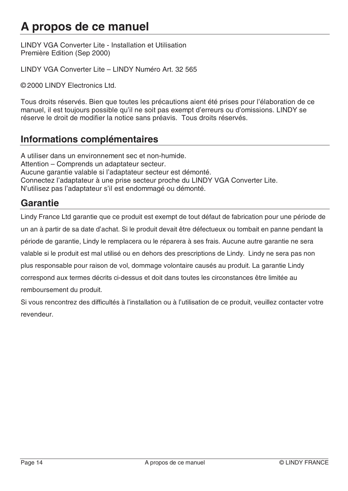# **A propos de ce manuel**

LINDY VGA Converter Lite - Installation et Utilisation Première Edition (Sep 2000)

LINDY VGA Converter Lite – LINDY Numéro Art. 32 565

© 2000 LINDY Electronics Ltd.

Tous droits réservés. Bien que toutes les précautions aient été prises pour l'élaboration de ce manuel, il est toujours possible qu'il ne soit pas exempt d'erreurs ou d'omissions. LINDY se réserve le droit de modifier la notice sans préavis. Tous droits réservés.

## **Informations complémentaires**

A utiliser dans un environnement sec et non-humide. Attention – Comprends un adaptateur secteur. Aucune garantie valable si l'adaptateur secteur est démonté. Connectez l'adaptateur à une prise secteur proche du LINDY VGA Converter Lite. N'utilisez pas l'adaptateur s'il est endommagé ou démonté.

## **Garantie**

Lindy France Ltd garantie que ce produit est exempt de tout défaut de fabrication pour une période de un an à partir de sa date d'achat. Si le produit devait être défectueux ou tombait en panne pendant la période de garantie, Lindy le remplacera ou le réparera à ses frais. Aucune autre garantie ne sera valable si le produit est mal utilisé ou en dehors des prescriptions de Lindy. Lindy ne sera pas non plus responsable pour raison de vol, dommage volontaire causés au produit. La garantie Lindy correspond aux termes décrits ci-dessus et doit dans toutes les circonstances être limitée au remboursement du produit.

Si vous rencontrez des difficultés à l'installation ou à l'utilisation de ce produit, veuillez contacter votre revendeur.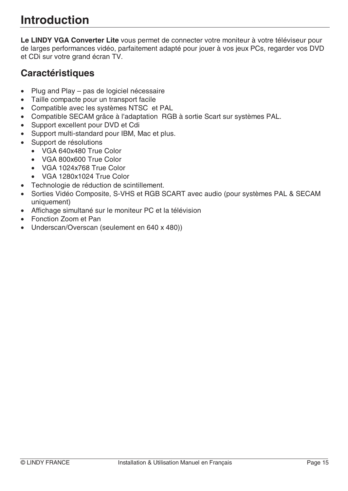**Le LINDY VGA Converter Lite** vous permet de connecter votre moniteur à votre téléviseur pour de larges performances vidéo, parfaitement adapté pour jouer à vos jeux PCs, regarder vos DVD et CDi sur votre grand écran TV.

# **Caractéristiques**

- Plug and Play pas de logiciel nécessaire
- Taille compacte pour un transport facile
- Compatible avec les systèmes NTSC et PAL
- Compatible SECAM grâce à l'adaptation RGB à sortie Scart sur systèmes PAL.
- Support excellent pour DVD et Cdi
- Support multi-standard pour IBM, Mac et plus.
- Support de résolutions
	- VGA 640x480 True Color
	- VGA 800x600 True Color
	- VGA 1024x768 True Color
	- VGA 1280x1024 True Color
- Technologie de réduction de scintillement.
- Sorties Vidéo Composite, S-VHS et RGB SCART avec audio (pour systèmes PAL & SECAM uniquement)
- Affichage simultané sur le moniteur PC et la télévision
- Fonction Zoom et Pan
- Underscan/Overscan (seulement en 640 x 480))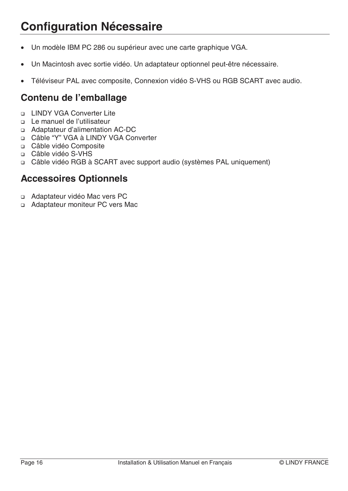# **Configuration Nécessaire**

- Un modèle IBM PC 286 ou supérieur avec une carte graphique VGA.
- Un Macintosh avec sortie vidéo. Un adaptateur optionnel peut-être nécessaire.
- Téléviseur PAL avec composite, Connexion vidéo S-VHS ou RGB SCART avec audio.

# **Contenu de l'emballage**

- LINDY VGA Converter Lite
- Le manuel de l'utilisateur
- Adaptateur d'alimentation AC-DC
- □ Câble "Y" VGA à LINDY VGA Converter
- Câble vidéo Composite
- Câble vidéo S-VHS
- Câble vidéo RGB à SCART avec support audio (systèmes PAL uniquement)

## **Accessoires Optionnels**

- Adaptateur vidéo Mac vers PC
- Adaptateur moniteur PC vers Mac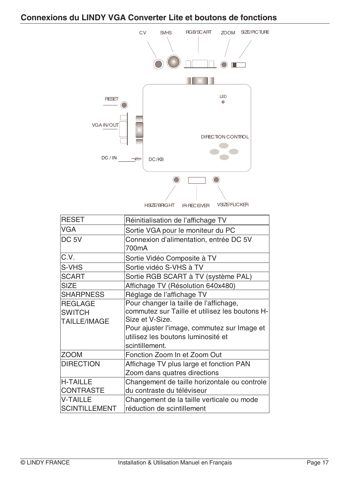## **Connexions du LINDY VGA Converter Lite et boutons de fonctions**



| <b>RESET</b>         | Réinitialisation de l'affichage TV             |
|----------------------|------------------------------------------------|
| <b>VGA</b>           | Sortie VGA pour le moniteur du PC              |
| DC <sub>5V</sub>     | Connexion d'alimentation, entrée DC 5V         |
|                      | 700mA                                          |
| C.V.                 | Sortie Vidéo Composite à TV                    |
| S-VHS                | Sortie vidéo S-VHS à TV                        |
| <b>SCART</b>         | Sortie RGB SCART à TV (système PAL)            |
| <b>SIZE</b>          | Affichage TV (Résolution 640x480)              |
| <b>SHARPNESS</b>     | Réglage de l'affichage TV                      |
| <b>REGLAGE</b>       | Pour changer la taille de l'affichage,         |
| <b>SWITCH</b>        | commutez sur Taille et utilisez les boutons H- |
| <b>TAILLE/IMAGE</b>  | Size et V-Size.                                |
|                      | Pour ajuster l'image, commutez sur Image et    |
|                      | utilisez les boutons luminosité et             |
|                      | scintillement.                                 |
| <b>ZOOM</b>          | Fonction Zoom In et Zoom Out                   |
| <b>DIRECTION</b>     | Affichage TV plus large et fonction PAN        |
|                      | Zoom dans quatres directions                   |
| <b>H-TAILLE</b>      | Changement de taille horizontale ou controle   |
| <b>CONTRASTE</b>     | du contraste du téléviseur                     |
| <b>V-TAILLE</b>      | Changement de la taille verticale ou mode      |
| <b>SCINTILLEMENT</b> | réduction de scintillement                     |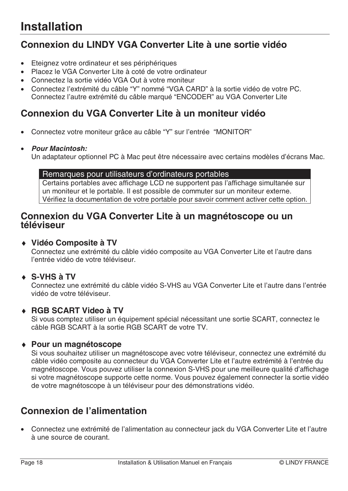# **Connexion du LINDY VGA Converter Lite à une sortie vidéo**

- Eteignez votre ordinateur et ses périphériques
- Placez le VGA Converter Lite à coté de votre ordinateur
- Connectez la sortie vidéo VGA Out à votre moniteur
- Connectez l'extrémité du câble "Y" nommé "VGA CARD" à la sortie vidéo de votre PC. Connectez l'autre extrémité du câble marqué "ENCODER" au VGA Converter Lite

## **Connexion du VGA Converter Lite à un moniteur vidéo**

- Connectez votre moniteur grâce au câble "Y" sur l'entrée "MONITOR"
- **Pour Macintosh:**

Un adaptateur optionnel PC à Mac peut être nécessaire avec certains modèles d'écrans Mac.

#### Remarques pour utilisateurs d'ordinateurs portables

Certains portables avec affichage LCD ne supportent pas l'affichage simultanée sur un moniteur et le portable. Il est possible de commuter sur un moniteur externe. Vérifiez la documentation de votre portable pour savoir comment activer cette option.

## **Connexion du VGA Converter Lite à un magnétoscope ou un téléviseur**

### ♦ **Vidéo Composite à TV**

Connectez une extrémité du câble vidéo composite au VGA Converter Lite et l'autre dans l'entrée vidéo de votre téléviseur.

#### ♦ **S-VHS à TV**

Connectez une extrémité du câble vidéo S-VHS au VGA Converter Lite et l'autre dans l'entrée vidéo de votre téléviseur.

### ♦ **RGB SCART Video à TV**

Si vous comptez utiliser un équipement spécial nécessitant une sortie SCART, connectez le câble RGB SCART à la sortie RGB SCART de votre TV.

#### ♦ **Pour un magnétoscope**

Si vous souhaitez utiliser un magnétoscope avec votre téléviseur, connectez une extrémité du câble vidéo composite au connecteur du VGA Converter Lite et l'autre extrémité à l'entrée du magnétoscope. Vous pouvez utiliser la connexion S-VHS pour une meilleure qualité d'affichage si votre magnétoscope supporte cette norme. Vous pouvez également connecter la sortie vidéo de votre magnétoscope à un téléviseur pour des démonstrations vidéo.

# **Connexion de l'alimentation**

• Connectez une extrémité de l'alimentation au connecteur jack du VGA Converter Lite et l'autre à une source de courant.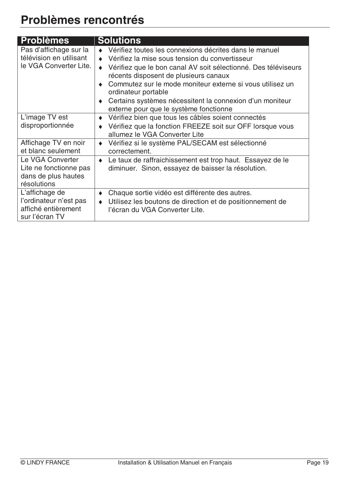| <b>Problèmes</b>                                                                  | <b>Solutions</b>                                                                                                                                                                                                                                                                                                                                                                                              |
|-----------------------------------------------------------------------------------|---------------------------------------------------------------------------------------------------------------------------------------------------------------------------------------------------------------------------------------------------------------------------------------------------------------------------------------------------------------------------------------------------------------|
| Pas d'affichage sur la<br>télévision en utilisant<br>le VGA Converter Lite.       | Vérifiez toutes les connexions décrites dans le manuel<br>Vérifiez la mise sous tension du convertisseur<br>Vérifiez que le bon canal AV soit sélectionné. Des téléviseurs<br>récents disposent de plusieurs canaux<br>Commutez sur le mode moniteur externe si vous utilisez un<br>ordinateur portable<br>Certains systèmes nécessitent la connexion d'un moniteur<br>externe pour que le système fonctionne |
| L'image TV est<br>disproportionnée                                                | Vérifiez bien que tous les câbles soient connectés<br>Vérifiez que la fonction FREEZE soit sur OFF lorsque vous<br>allumez le VGA Converter Lite                                                                                                                                                                                                                                                              |
| Affichage TV en noir<br>et blanc seulement                                        | Vérifiez si le système PAL/SECAM est sélectionné<br>correctement.                                                                                                                                                                                                                                                                                                                                             |
| Le VGA Converter<br>Lite ne fonctionne pas<br>dans de plus hautes<br>résolutions  | Le taux de raffraichissement est trop haut. Essayez de le<br>diminuer. Sinon, essayez de baisser la résolution.                                                                                                                                                                                                                                                                                               |
| L'affichage de<br>l'ordinateur n'est pas<br>affiché entièrement<br>sur l'écran TV | Chaque sortie vidéo est différente des autres.<br>Utilisez les boutons de direction et de positionnement de<br>l'écran du VGA Converter Lite.                                                                                                                                                                                                                                                                 |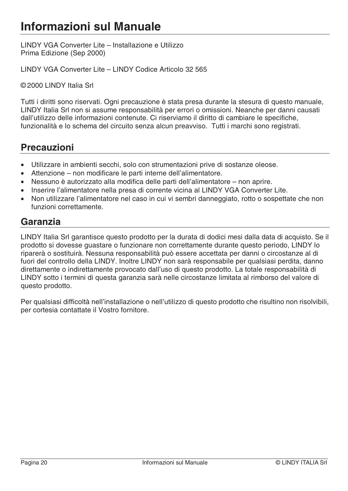LINDY VGA Converter Lite – Installazione e Utilizzo Prima Edizione (Sep 2000)

LINDY VGA Converter Lite – LINDY Codice Articolo 32 565

© 2000 LINDY Italia Srl

Tutti i diritti sono riservati. Ogni precauzione è stata presa durante la stesura di questo manuale, LINDY Italia Srl non si assume responsabilità per errori o omissioni. Neanche per danni causati dall'utilizzo delle informazioni contenute. Ci riserviamo il diritto di cambiare le specifiche, funzionalità e lo schema del circuito senza alcun preavviso. Tutti i marchi sono registrati.

## **Precauzioni**

- Utilizzare in ambienti secchi, solo con strumentazioni prive di sostanze oleose.
- Attenzione non modificare le parti interne dell'alimentatore.
- Nessuno è autorizzato alla modifica delle parti dell'alimentatore non aprire.
- Inserire l'alimentatore nella presa di corrente vicina al LINDY VGA Converter Lite.
- Non utilizzare l'alimentatore nel caso in cui vi sembri danneggiato, rotto o sospettate che non funzioni correttamente.

## **Garanzia**

LINDY Italia Srl garantisce questo prodotto per la durata di dodici mesi dalla data di acquisto. Se il prodotto si dovesse guastare o funzionare non correttamente durante questo periodo, LINDY lo riparerà o sostituirà. Nessuna responsabilità può essere accettata per danni o circostanze al di fuori del controllo della LINDY. Inoltre LINDY non sarà responsabile per qualsiasi perdita, danno direttamente o indirettamente provocato dall'uso di questo prodotto. La totale responsabilità di LINDY sotto i termini di questa garanzia sarà nelle circostanze limitata al rimborso del valore di questo prodotto.

Per qualsiasi difficoltà nell'installazione o nell'utilizzo di questo prodotto che risultino non risolvibili, per cortesia contattate il Vostro fornitore.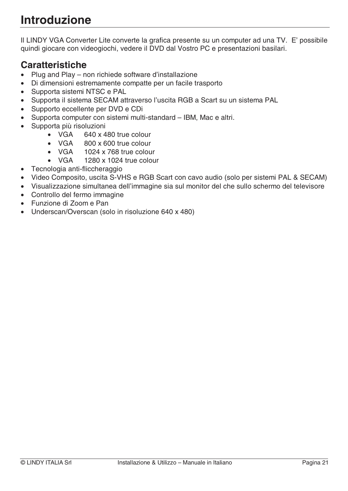# **Introduzione**

Il LINDY VGA Converter Lite converte la grafica presente su un computer ad una TV. E' possibile quindi giocare con videogiochi, vedere il DVD dal Vostro PC e presentazioni basilari.

# **Caratteristiche**

- Plug and Play non richiede software d'installazione
- Di dimensioni estremamente compatte per un facile trasporto
- Supporta sistemi NTSC e PAL
- Supporta il sistema SECAM attraverso l'uscita RGB a Scart su un sistema PAL
- Supporto eccellente per DVD e CDi
- Supporta computer con sistemi multi-standard IBM, Mac e altri.
- Supporta più risoluzioni
	- VGA 640 x 480 true colour
	- VGA 800 x 600 true colour
	- VGA 1024 x 768 true colour
	- VGA 1280 x 1024 true colour
- Tecnologia anti-fliccheraggio
- Video Composito, uscita S-VHS e RGB Scart con cavo audio (solo per sistemi PAL & SECAM)
- Visualizzazione simultanea dell'immagine sia sul monitor del che sullo schermo del televisore
- Controllo del fermo immagine
- Funzione di Zoom e Pan
- Underscan/Overscan (solo in risoluzione 640 x 480)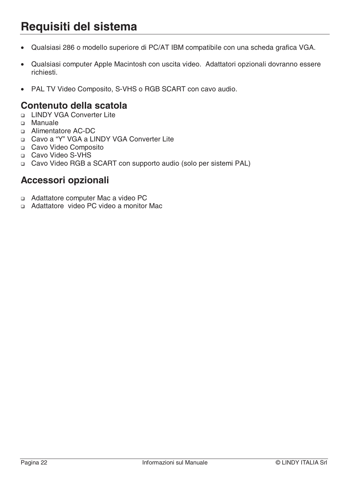# **Requisiti del sistema**

- Qualsiasi 286 o modello superiore di PC/AT IBM compatibile con una scheda grafica VGA.
- Qualsiasi computer Apple Macintosh con uscita video. Adattatori opzionali dovranno essere richiesti.
- PAL TV Video Composito, S-VHS o RGB SCART con cavo audio.

## **Contenuto della scatola**

- LINDY VGA Converter Lite
- Manuale
- Alimentatore AC-DC
- Cavo a "Y" VGA a LINDY VGA Converter Lite
- □ Cavo Video Composito
- □ Cavo Video S-VHS
- Cavo Video RGB a SCART con supporto audio (solo per sistemi PAL)

## **Accessori opzionali**

- a Adattatore computer Mac a video PC
- Adattatore video PC video a monitor Mac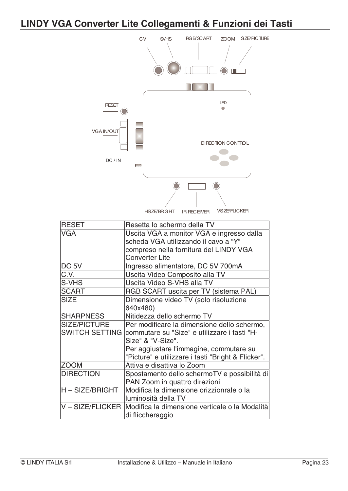# **LINDY VGA Converter Lite Collegamenti & Funzioni dei Tasti**



| <b>RESET</b>      | Resetta lo schermo della TV                                     |
|-------------------|-----------------------------------------------------------------|
| <b>VGA</b>        | Uscita VGA a monitor VGA e ingresso dalla                       |
|                   | scheda VGA utilizzando il cavo a "Y"                            |
|                   | compreso nella fornitura del LINDY VGA                          |
|                   | <b>Converter Lite</b>                                           |
| DC <sub>5V</sub>  | Ingresso alimentatore, DC 5V 700mA                              |
| $\overline{C.V.}$ | Uscita Video Composito alla TV                                  |
| S-VHS             | Uscita Video S-VHS alla TV                                      |
| <b>SCART</b>      | RGB SCART uscita per TV (sistema PAL)                           |
| <b>SIZE</b>       | Dimensione video TV (solo risoluzione                           |
|                   | 640x480)                                                        |
| <b>SHARPNESS</b>  | Nitidezza dello schermo TV                                      |
| SIZE/PICTURE      | Per modificare la dimensione dello schermo,                     |
|                   | SWITCH SETTING commutare su "Size" e utilizzare i tasti "H-     |
|                   | Size" & "V-Size".                                               |
|                   | Per aggiustare l'immagine, commutare su                         |
|                   | "Picture" e utilizzare i tasti "Bright & Flicker".              |
| <b>ZOOM</b>       | Attiva e disattiva lo Zoom                                      |
| <b>DIRECTION</b>  | Spostamento dello schermoTV e possibilità di                    |
|                   | PAN Zoom in quattro direzioni                                   |
| H – SIZE/BRIGHT   | Modifica la dimensione orizzionrale o la                        |
|                   | luminosità della TV                                             |
|                   | V - SIZE/FLICKER Modifica la dimensione verticale o la Modalità |
|                   | di fliccheraggio                                                |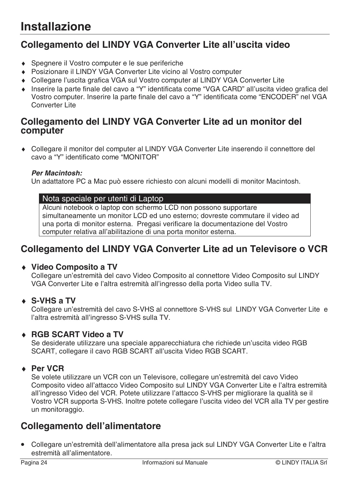# **Collegamento del LINDY VGA Converter Lite all'uscita video**

- ♦ Spegnere il Vostro computer e le sue periferiche
- ♦ Posizionare il LINDY VGA Converter Lite vicino al Vostro computer
- ♦ Collegare l'uscita grafica VGA sul Vostro computer al LINDY VGA Converter Lite
- ♦ Inserire la parte finale del cavo a "Y" identificata come "VGA CARD" all'uscita video grafica del Vostro computer. Inserire la parte finale del cavo a "Y" identificata come "ENCODER" nel VGA Converter Lite

## **Collegamento del LINDY VGA Converter Lite ad un monitor del computer**

♦ Collegare il monitor del computer al LINDY VGA Converter Lite inserendo il connettore del cavo a "Y" identificato come "MONITOR"

#### **Per Macintosh:**

Un adattatore PC a Mac può essere richiesto con alcuni modelli di monitor Macintosh.

#### Nota speciale per utenti di Laptop

Alcuni notebook o laptop con schermo LCD non possono supportare simultaneamente un monitor LCD ed uno esterno; dovreste commutare il video ad una porta di monitor esterna. Pregasi verificare la documentazione del Vostro computer relativa all'abilitazione di una porta monitor esterna.

## **Collegamento del LINDY VGA Converter Lite ad un Televisore o VCR**

### ♦ **Video Composito a TV**

Collegare un'estremità del cavo Video Composito al connettore Video Composito sul LINDY VGA Converter Lite e l'altra estremità all'ingresso della porta Video sulla TV.

### ♦ **S-VHS a TV**

Collegare un'estremità del cavo S-VHS al connettore S-VHS sul LINDY VGA Converter Lite e l'altra estremità all'ingresso S-VHS sulla TV.

### ♦ **RGB SCART Video a TV**

Se desiderate utilizzare una speciale apparecchiatura che richiede un'uscita video RGB SCART, collegare il cavo RGB SCART all'uscita Video RGB SCART.

### ♦ **Per VCR**

Se volete utilizzare un VCR con un Televisore, collegare un'estremità del cavo Video Composito video all'attacco Video Composito sul LINDY VGA Converter Lite e l'altra estremità all'ingresso Video del VCR. Potete utilizzare l'attacco S-VHS per migliorare la qualità se il Vostro VCR supporta S-VHS. Inoltre potete collegare l'uscita video del VCR alla TV per gestire un monitoraggio.

# **Collegamento dell'alimentatore**

• Collegare un'estremità dell'alimentatore alla presa jack sul LINDY VGA Converter Lite e l'altra estremità all'alimentatore.